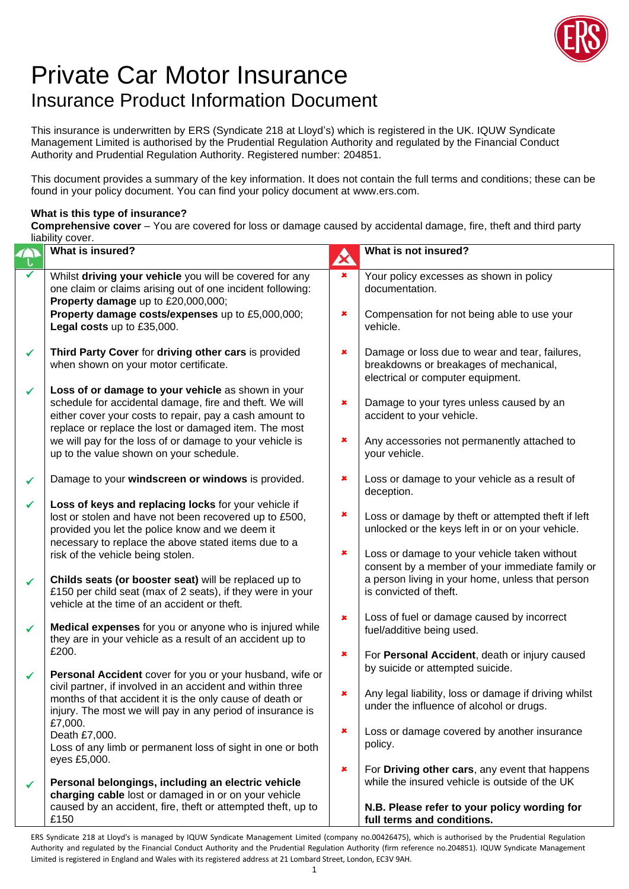

## Private Car Motor Insurance Insurance Product Information Document

This insurance is underwritten by ERS (Syndicate 218 at Lloyd's) which is registered in the UK. IQUW Syndicate Management Limited is authorised by the Prudential Regulation Authority and regulated by the Financial Conduct Authority and Prudential Regulation Authority. Registered number: 204851.

This document provides a summary of the key information. It does not contain the full terms and conditions; these can be found in your policy document. You can find your policy document at www.ers.com.

## **What is this type of insurance?**

**Comprehensive cover** – You are covered for loss or damage caused by accidental damage, fire, theft and third party liability cover.

|              | ilability cover.<br>What is insured?                                                                                                                                                                                                                                                          |                       | What is not insured?                                                                                                                                                          |
|--------------|-----------------------------------------------------------------------------------------------------------------------------------------------------------------------------------------------------------------------------------------------------------------------------------------------|-----------------------|-------------------------------------------------------------------------------------------------------------------------------------------------------------------------------|
|              |                                                                                                                                                                                                                                                                                               | $\boldsymbol{\alpha}$ |                                                                                                                                                                               |
|              | Whilst driving your vehicle you will be covered for any<br>one claim or claims arising out of one incident following:<br>Property damage up to £20,000,000;                                                                                                                                   | $\pmb{\times}$        | Your policy excesses as shown in policy<br>documentation.                                                                                                                     |
|              | Property damage costs/expenses up to £5,000,000;<br>Legal costs up to £35,000.                                                                                                                                                                                                                | ×                     | Compensation for not being able to use your<br>vehicle.                                                                                                                       |
| $\checkmark$ | Third Party Cover for driving other cars is provided<br>when shown on your motor certificate.                                                                                                                                                                                                 | ×                     | Damage or loss due to wear and tear, failures,<br>breakdowns or breakages of mechanical,<br>electrical or computer equipment.                                                 |
| $\checkmark$ | Loss of or damage to your vehicle as shown in your<br>schedule for accidental damage, fire and theft. We will<br>either cover your costs to repair, pay a cash amount to<br>replace or replace the lost or damaged item. The most<br>we will pay for the loss of or damage to your vehicle is | $\pmb{\times}$<br>×   | Damage to your tyres unless caused by an<br>accident to your vehicle.<br>Any accessories not permanently attached to                                                          |
|              | up to the value shown on your schedule.                                                                                                                                                                                                                                                       |                       | your vehicle.                                                                                                                                                                 |
| ✓            | Damage to your windscreen or windows is provided.                                                                                                                                                                                                                                             | ×                     | Loss or damage to your vehicle as a result of<br>deception.                                                                                                                   |
| $\checkmark$ | Loss of keys and replacing locks for your vehicle if<br>lost or stolen and have not been recovered up to £500,<br>provided you let the police know and we deem it<br>necessary to replace the above stated items due to a                                                                     | ×<br>×                | Loss or damage by theft or attempted theft if left<br>unlocked or the keys left in or on your vehicle.                                                                        |
| ✓            | risk of the vehicle being stolen.<br>Childs seats (or booster seat) will be replaced up to<br>£150 per child seat (max of 2 seats), if they were in your<br>vehicle at the time of an accident or theft.                                                                                      |                       | Loss or damage to your vehicle taken without<br>consent by a member of your immediate family or<br>a person living in your home, unless that person<br>is convicted of theft. |
| $\checkmark$ | Medical expenses for you or anyone who is injured while<br>they are in your vehicle as a result of an accident up to                                                                                                                                                                          | $\pmb{\times}$        | Loss of fuel or damage caused by incorrect<br>fuel/additive being used.                                                                                                       |
| $\checkmark$ | £200.<br>Personal Accident cover for you or your husband, wife or                                                                                                                                                                                                                             | $\pmb{\times}$        | For Personal Accident, death or injury caused<br>by suicide or attempted suicide.                                                                                             |
|              | civil partner, if involved in an accident and within three<br>months of that accident it is the only cause of death or<br>injury. The most we will pay in any period of insurance is<br>£7,000.                                                                                               | $\pmb{\times}$        | Any legal liability, loss or damage if driving whilst<br>under the influence of alcohol or drugs.                                                                             |
|              | Death £7,000.<br>Loss of any limb or permanent loss of sight in one or both<br>eyes £5,000.                                                                                                                                                                                                   | ×                     | Loss or damage covered by another insurance<br>policy.                                                                                                                        |
| ✓            | Personal belongings, including an electric vehicle<br>charging cable lost or damaged in or on your vehicle                                                                                                                                                                                    | ×                     | For Driving other cars, any event that happens<br>while the insured vehicle is outside of the UK                                                                              |
|              | caused by an accident, fire, theft or attempted theft, up to<br>£150                                                                                                                                                                                                                          |                       | N.B. Please refer to your policy wording for<br>full terms and conditions.                                                                                                    |

ERS Syndicate 218 at Lloyd's is managed by IQUW Syndicate Management Limited (company no.00426475), which is authorised by the Prudential Regulation Authority and regulated by the Financial Conduct Authority and the Prudential Regulation Authority (firm reference no.204851). IQUW Syndicate Management Limited is registered in England and Wales with its registered address at 21 Lombard Street, London, EC3V 9AH.